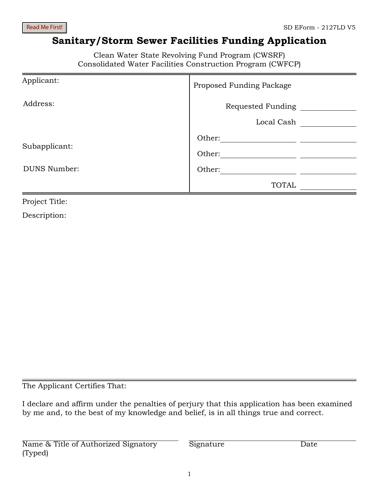Read Me First!

# **Sanitary/Storm Sewer Facilities Funding Application**

Clean Water State Revolving Fund Program (CWSRF) Consolidated Water Facilities Construction Program (CWFCP)

| Proposed Funding Package |
|--------------------------|
| Requested Funding        |
| Local Cash               |
| Other:                   |
| Other:                   |
| Other:                   |
| <b>TOTAL</b>             |
|                          |

Project Title:

Description:

The Applicant Certifies That:

I declare and affirm under the penalties of perjury that this application has been examined by me and, to the best of my knowledge and belief, is in all things true and correct.

Name & Title of Authorized Signatory (Typed)

Signature Date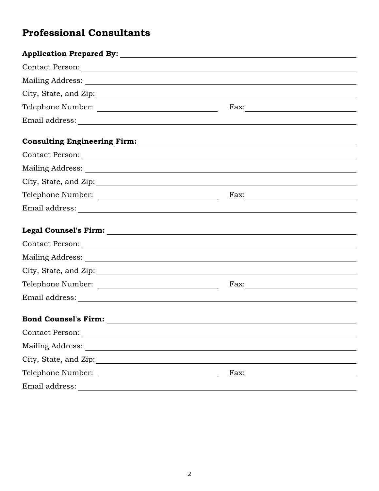# **Professional Consultants**

| Telephone Number: |  |
|-------------------|--|
|                   |  |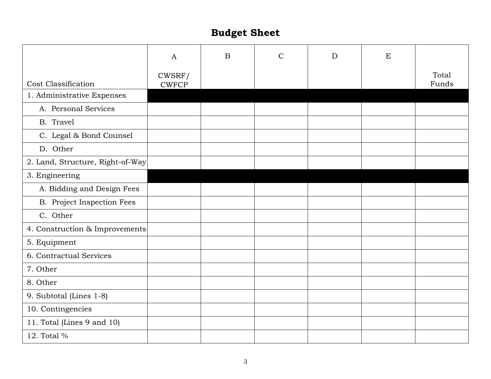# **Budget Sheet**

|                                  | $\mathbf{A}$           | $\mathbf B$ | $\mathcal{C}$ | D | E |                |
|----------------------------------|------------------------|-------------|---------------|---|---|----------------|
| Cost Classification              | CWSRF/<br><b>CWFCP</b> |             |               |   |   | Total<br>Funds |
| 1. Administrative Expenses       |                        |             |               |   |   |                |
| A. Personal Services             |                        |             |               |   |   |                |
| B. Travel                        |                        |             |               |   |   |                |
| C. Legal & Bond Counsel          |                        |             |               |   |   |                |
| D. Other                         |                        |             |               |   |   |                |
| 2. Land, Structure, Right-of-Way |                        |             |               |   |   |                |
| 3. Engineering                   |                        |             |               |   |   |                |
| A. Bidding and Design Fees       |                        |             |               |   |   |                |
| B. Project Inspection Fees       |                        |             |               |   |   |                |
| C. Other                         |                        |             |               |   |   |                |
| 4. Construction & Improvements   |                        |             |               |   |   |                |
| 5. Equipment                     |                        |             |               |   |   |                |
| 6. Contractual Services          |                        |             |               |   |   |                |
| 7. Other                         |                        |             |               |   |   |                |
| 8. Other                         |                        |             |               |   |   |                |
| 9. Subtotal (Lines 1-8)          |                        |             |               |   |   |                |
| 10. Contingencies                |                        |             |               |   |   |                |
| 11. Total (Lines 9 and 10)       |                        |             |               |   |   |                |
| 12. Total %                      |                        |             |               |   |   |                |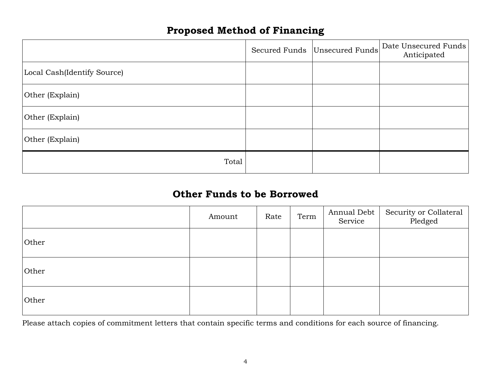# **Proposed Method of Financing**

|                             | Secured Funds Unsecured Funds | Date Unsecured Funds<br>Anticipated |
|-----------------------------|-------------------------------|-------------------------------------|
| Local Cash(Identify Source) |                               |                                     |
| Other (Explain)             |                               |                                     |
| Other (Explain)             |                               |                                     |
| Other (Explain)             |                               |                                     |
| Total                       |                               |                                     |

# **Other Funds to be Borrowed**

|       | Amount | Rate | Term | Annual Debt<br>Service | Security or Collateral<br>Pledged |
|-------|--------|------|------|------------------------|-----------------------------------|
| Other |        |      |      |                        |                                   |
| Other |        |      |      |                        |                                   |
| Other |        |      |      |                        |                                   |

Please attach copies of commitment letters that contain specific terms and conditions for each source of financing.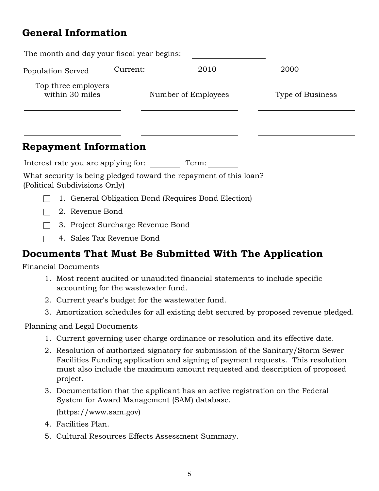# **General Information**

| The month and day your fiscal year begins: |          |                     |                  |
|--------------------------------------------|----------|---------------------|------------------|
| Population Served                          | Current: | 2010                | 2000             |
| Top three employers<br>within 30 miles     |          | Number of Employees | Type of Business |
|                                            |          |                     |                  |

# **Repayment Information**

Interest rate you are applying for: Term:

What security is being pledged toward the repayment of this loan? (Political Subdivisions Only)

- 1. General Obligation Bond (Requires Bond Election)
- 2. Revenue Bond
- 3. Project Surcharge Revenue Bond
- 4. Sales Tax Revenue Bond

# **Documents That Must Be Submitted With The Application**

Financial Documents

- 1. Most recent audited or unaudited financial statements to include specific accounting for the wastewater fund.
- 2. Current year's budget for the wastewater fund.
- 3. Amortization schedules for all existing debt secured by proposed revenue pledged.

## Planning and Legal Documents

- 1. Current governing user charge ordinance or resolution and its effective date.
- 2. Resolution of authorized signatory for submission of the Sanitary/Storm Sewer Facilities Funding application and signing of payment requests. This resolution must also include the maximum amount requested and description of proposed project.
- 3. Documentation that the applicant has an active registration on the Federal System for Award Management (SAM) database. (https://www.sam.gov)
- 4. Facilities Plan.
- 5. Cultural Resources Effects Assessment Summary.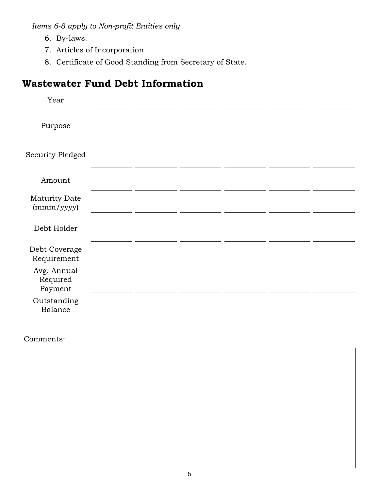*Items 6-8 apply to Non-profit Entities only*

- 6. By-laws.
- 7. Articles of Incorporation.
- 8. Certificate of Good Standing from Secretary of State.

# **Wastewater Fund Debt Information**

| Year                               |  |  |  |
|------------------------------------|--|--|--|
| Purpose                            |  |  |  |
| Security Pledged                   |  |  |  |
| Amount                             |  |  |  |
| Maturity Date<br>(mmm/yyyy)        |  |  |  |
| Debt Holder                        |  |  |  |
| Debt Coverage<br>Requirement       |  |  |  |
| Avg. Annual<br>Required<br>Payment |  |  |  |
| Outstanding<br>Balance             |  |  |  |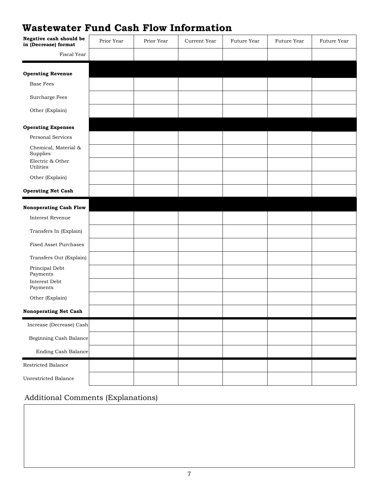# **Wastewater Fund Cash Flow Information**

| Negative cash should be<br>in (Decrease) format | Prior Year | Prior Year | Current Year | Future Year | Future Year | Future Year |
|-------------------------------------------------|------------|------------|--------------|-------------|-------------|-------------|
| Fiscal Year                                     |            |            |              |             |             |             |
| <b>Operating Revenue</b>                        |            |            |              |             |             |             |
| <b>Base Fees</b>                                |            |            |              |             |             |             |
| Surcharge Fees                                  |            |            |              |             |             |             |
| Other (Explain)                                 |            |            |              |             |             |             |
| <b>Operating Expenses</b>                       |            |            |              |             |             |             |
| Personal Services                               |            |            |              |             |             |             |
| Chemical, Material &<br>Supplies                |            |            |              |             |             |             |
| Electric & Other<br>Utilities                   |            |            |              |             |             |             |
| Other (Explain)                                 |            |            |              |             |             |             |
| <b>Operating Net Cash</b>                       |            |            |              |             |             |             |
| <b>Nonoperating Cash Flow</b>                   |            |            |              |             |             |             |
| Interest Revenue                                |            |            |              |             |             |             |
| Transfers In (Explain)                          |            |            |              |             |             |             |
| Fixed Asset Purchases                           |            |            |              |             |             |             |
| Transfers Out (Explain)                         |            |            |              |             |             |             |
| Principal Debt<br>Payments                      |            |            |              |             |             |             |
| Interest Debt<br>Payments                       |            |            |              |             |             |             |
| Other (Explain)                                 |            |            |              |             |             |             |
| <b>Nonoperating Net Cash</b>                    |            |            |              |             |             |             |
| Increase (Decrease) Cash                        |            |            |              |             |             |             |
| Beginning Cash Balance                          |            |            |              |             |             |             |
| <b>Ending Cash Balance</b>                      |            |            |              |             |             |             |
| Restricted Balance                              |            |            |              |             |             |             |
| Unrestricted Balance                            |            |            |              |             |             |             |

# Additional Comments (Explanations)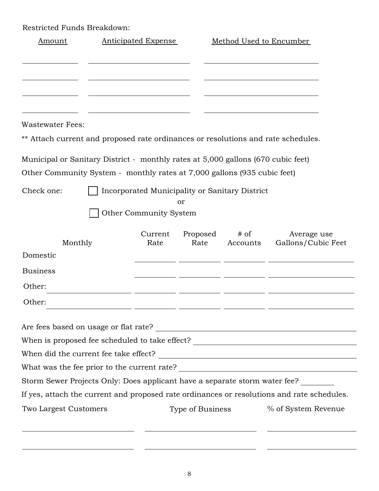Restricted Funds Breakdown:

| Amount                                                                            | <b>Anticipated Expense</b> |                  | Method Used to Encumber                        |                                                                                                                                                                          |
|-----------------------------------------------------------------------------------|----------------------------|------------------|------------------------------------------------|--------------------------------------------------------------------------------------------------------------------------------------------------------------------------|
|                                                                                   |                            |                  |                                                |                                                                                                                                                                          |
|                                                                                   |                            |                  |                                                |                                                                                                                                                                          |
| Wastewater Fees:                                                                  |                            |                  |                                                |                                                                                                                                                                          |
| ** Attach current and proposed rate ordinances or resolutions and rate schedules. |                            |                  |                                                |                                                                                                                                                                          |
| Municipal or Sanitary District - monthly rates at 5,000 gallons (670 cubic feet)  |                            |                  |                                                |                                                                                                                                                                          |
| Other Community System - monthly rates at 7,000 gallons (935 cubic feet)          |                            |                  |                                                |                                                                                                                                                                          |
| Check one:                                                                        |                            |                  | Incorporated Municipality or Sanitary District |                                                                                                                                                                          |
|                                                                                   |                            | or               |                                                |                                                                                                                                                                          |
|                                                                                   | Other Community System     |                  |                                                |                                                                                                                                                                          |
| Monthly                                                                           | Current<br>Rate            | Proposed<br>Rate | $#$ of<br>Accounts                             | Average use<br>Gallons/Cubic Feet                                                                                                                                        |
| Domestic                                                                          |                            |                  |                                                |                                                                                                                                                                          |
| <b>Business</b>                                                                   |                            |                  |                                                |                                                                                                                                                                          |
|                                                                                   |                            |                  |                                                |                                                                                                                                                                          |
| Other:                                                                            |                            |                  |                                                |                                                                                                                                                                          |
| Other:                                                                            |                            |                  |                                                |                                                                                                                                                                          |
|                                                                                   |                            |                  |                                                |                                                                                                                                                                          |
|                                                                                   |                            |                  |                                                |                                                                                                                                                                          |
|                                                                                   |                            |                  |                                                | When is proposed fee scheduled to take effect? _________________________________                                                                                         |
|                                                                                   |                            |                  |                                                |                                                                                                                                                                          |
|                                                                                   |                            |                  |                                                |                                                                                                                                                                          |
|                                                                                   |                            |                  |                                                | Storm Sewer Projects Only: Does applicant have a separate storm water fee?<br>If yes, attach the current and proposed rate ordinances or resolutions and rate schedules. |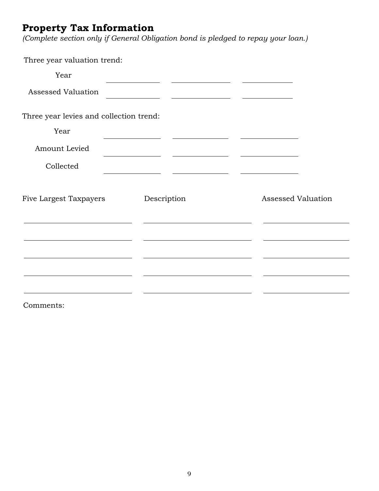# **Property Tax Information**

*(Complete section only if General Obligation bond is pledged to repay your loan.)* 

| Three year valuation trend:             |                                                                                                                                                                                                                                                                                      |                                                  |
|-----------------------------------------|--------------------------------------------------------------------------------------------------------------------------------------------------------------------------------------------------------------------------------------------------------------------------------------|--------------------------------------------------|
| Year                                    |                                                                                                                                                                                                                                                                                      |                                                  |
| <b>Assessed Valuation</b>               | <u> 1980 - Andrea Andrew Maria (h. 1980).</u>                                                                                                                                                                                                                                        |                                                  |
| Three year levies and collection trend: |                                                                                                                                                                                                                                                                                      |                                                  |
| Year                                    | the control of the control of the control of<br><u> Alexander (Alexander Alexander Alexander Alexander Alexander Alexander Alexander Alexander Alexander Alexander Alex</u>                                                                                                          | and the control of the control of the control of |
| Amount Levied                           | <u> Andreas Andreas Andreas Andreas Andreas Andreas Andreas Andreas Andreas Andreas Andreas Andreas Andreas Andreas Andreas Andreas Andreas Andreas Andreas Andreas Andreas Andreas Andreas Andreas Andreas Andreas Andreas Andr</u><br>the control of the control of the control of |                                                  |
| Collected                               | <u> 1989 - Jan Barbara Barbara, prima prima prima prima prima prima prima prima prima prima prima prima prima pri</u>                                                                                                                                                                |                                                  |
| Five Largest Taxpayers                  | Description                                                                                                                                                                                                                                                                          | <b>Assessed Valuation</b>                        |
|                                         |                                                                                                                                                                                                                                                                                      |                                                  |
|                                         |                                                                                                                                                                                                                                                                                      |                                                  |
|                                         |                                                                                                                                                                                                                                                                                      |                                                  |
|                                         |                                                                                                                                                                                                                                                                                      |                                                  |
|                                         |                                                                                                                                                                                                                                                                                      |                                                  |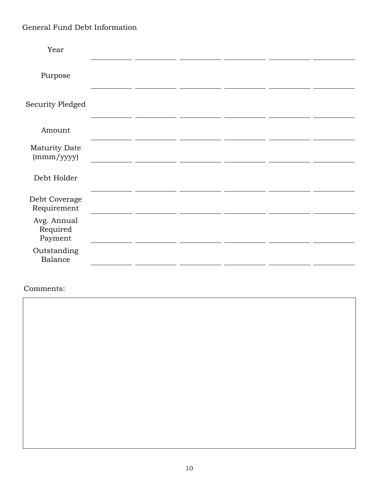# General Fund Debt Information

| Year                               |  |  |  |
|------------------------------------|--|--|--|
| Purpose                            |  |  |  |
| Security Pledged                   |  |  |  |
| Amount                             |  |  |  |
| Maturity Date<br>(mmm/yyyy)        |  |  |  |
| Debt Holder                        |  |  |  |
| Debt Coverage<br>Requirement       |  |  |  |
| Avg. Annual<br>Required<br>Payment |  |  |  |
| Outstanding<br><b>Balance</b>      |  |  |  |
|                                    |  |  |  |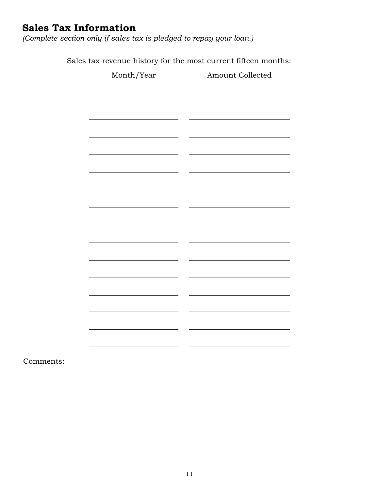# **Sales Tax Information**

*(Complete section only if sales tax is pledged to repay your loan.)* 

Sales tax revenue history for the most current fifteen months:

| Month/Year | Amount Collected |
|------------|------------------|
|            |                  |
|            |                  |
|            |                  |
|            |                  |
|            |                  |
|            |                  |
|            |                  |
|            |                  |
|            |                  |
|            |                  |
|            |                  |
|            |                  |
|            |                  |
|            |                  |
|            |                  |
|            |                  |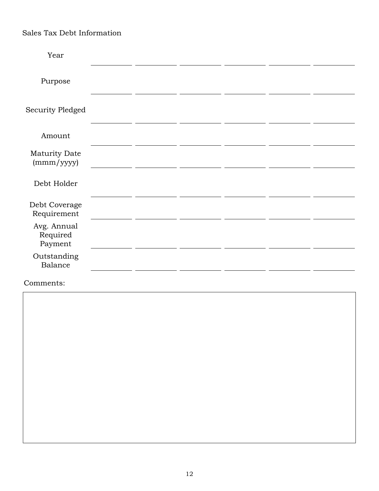# Sales Tax Debt Information

| Year                               |  |  |  |
|------------------------------------|--|--|--|
| Purpose                            |  |  |  |
| Security Pledged                   |  |  |  |
| Amount                             |  |  |  |
| Maturity Date<br>(mmm/yyyy)        |  |  |  |
| Debt Holder                        |  |  |  |
| Debt Coverage<br>Requirement       |  |  |  |
| Avg. Annual<br>Required<br>Payment |  |  |  |
| Outstanding<br>Balance             |  |  |  |
|                                    |  |  |  |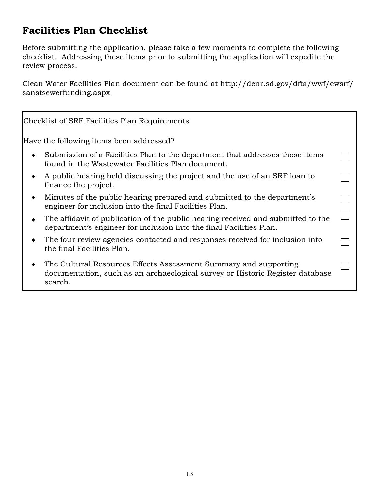# **Facilities Plan Checklist**

Before submitting the application, please take a few moments to complete the following checklist. Addressing these items prior to submitting the application will expedite the review process.

Clean Water Facilities Plan document can be found at http://denr.sd.gov/dfta/wwf/cwsrf/ sanstsewerfunding.aspx

| Checklist of SRF Facilities Plan Requirements                                                                                                                |  |
|--------------------------------------------------------------------------------------------------------------------------------------------------------------|--|
| Have the following items been addressed?                                                                                                                     |  |
| Submission of a Facilities Plan to the department that addresses those items<br>found in the Wastewater Facilities Plan document.                            |  |
| A public hearing held discussing the project and the use of an SRF loan to<br>finance the project.                                                           |  |
| Minutes of the public hearing prepared and submitted to the department's<br>engineer for inclusion into the final Facilities Plan.                           |  |
| The affidavit of publication of the public hearing received and submitted to the<br>department's engineer for inclusion into the final Facilities Plan.      |  |
| The four review agencies contacted and responses received for inclusion into<br>the final Facilities Plan.                                                   |  |
| The Cultural Resources Effects Assessment Summary and supporting<br>documentation, such as an archaeological survey or Historic Register database<br>search. |  |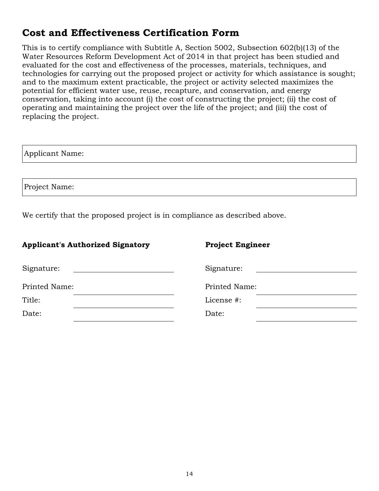# **Cost and Effectiveness Certification Form**

This is to certify compliance with Subtitle A, Section 5002, Subsection 602(b)(13) of the Water Resources Reform Development Act of 2014 in that project has been studied and evaluated for the cost and effectiveness of the processes, materials, techniques, and technologies for carrying out the proposed project or activity for which assistance is sought; and to the maximum extent practicable, the project or activity selected maximizes the potential for efficient water use, reuse, recapture, and conservation, and energy conservation, taking into account (i) the cost of constructing the project; (ii) the cost of operating and maintaining the project over the life of the project; and (iii) the cost of replacing the project.

| Applicant Name: |  |
|-----------------|--|
|                 |  |
| Project Name:   |  |

We certify that the proposed project is in compliance as described above.

## Applicant's Authorized Signatory **Project Engineer**

| Signature:    | Signature:    |
|---------------|---------------|
| Printed Name: | Printed Name: |
| Title:        | License #:    |
| Date:         | Date:         |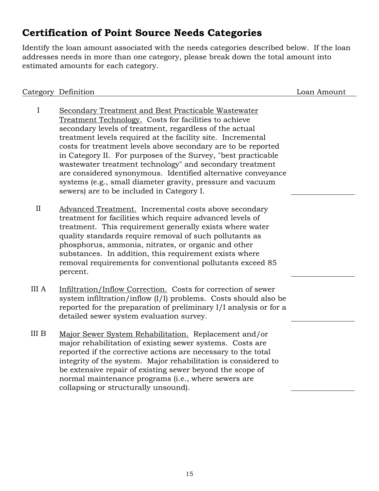# **Certification of Point Source Needs Categories**

Identify the loan amount associated with the needs categories described below. If the loan addresses needs in more than one category, please break down the total amount into estimated amounts for each category.

|              | Category Definition                                                                                                                                                                                                                                                                                                                                                                                                                                                                                                                                                                                              | Loan Amount |
|--------------|------------------------------------------------------------------------------------------------------------------------------------------------------------------------------------------------------------------------------------------------------------------------------------------------------------------------------------------------------------------------------------------------------------------------------------------------------------------------------------------------------------------------------------------------------------------------------------------------------------------|-------------|
| I            | Secondary Treatment and Best Practicable Wastewater<br>Treatment Technology. Costs for facilities to achieve<br>secondary levels of treatment, regardless of the actual<br>treatment levels required at the facility site. Incremental<br>costs for treatment levels above secondary are to be reported<br>in Category II. For purposes of the Survey, "best practicable"<br>wastewater treatment technology" and secondary treatment<br>are considered synonymous. Identified alternative conveyance<br>systems (e.g., small diameter gravity, pressure and vacuum<br>sewers) are to be included in Category I. |             |
| II           | Advanced Treatment. Incremental costs above secondary<br>treatment for facilities which require advanced levels of<br>treatment. This requirement generally exists where water<br>quality standards require removal of such pollutants as<br>phosphorus, ammonia, nitrates, or organic and other<br>substances. In addition, this requirement exists where<br>removal requirements for conventional pollutants exceed 85<br>percent.                                                                                                                                                                             |             |
| <b>III</b> A | Infiltration/Inflow Correction. Costs for correction of sewer<br>system infiltration/inflow (I/I) problems. Costs should also be<br>reported for the preparation of preliminary I/I analysis or for a<br>detailed sewer system evaluation survey.                                                                                                                                                                                                                                                                                                                                                                |             |
| III B        | Major Sewer System Rehabilitation. Replacement and/or<br>major rehabilitation of existing sewer systems. Costs are<br>reported if the corrective actions are necessary to the total<br>integrity of the system. Major rehabilitation is considered to<br>be extensive repair of existing sewer beyond the scope of<br>normal maintenance programs (i.e., where sewers are<br>collapsing or structurally unsound).                                                                                                                                                                                                |             |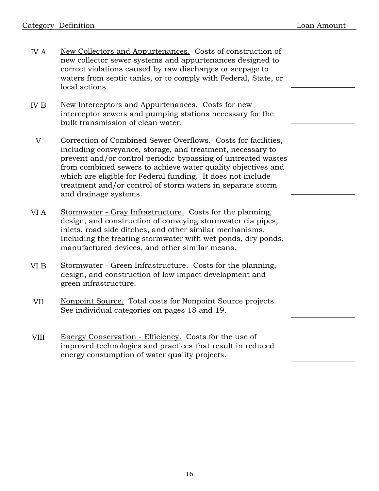- IV A New Collectors and Appurtenances. Costs of construction of new collector sewer systems and appurtenances designed to correct violations caused by raw discharges or seepage to waters from septic tanks, or to comply with Federal, State, or local actions.
- IV B New Interceptors and Appurtenances. Costs for new interceptor sewers and pumping stations necessary for the bulk transmission of clean water.
	- V Correction of Combined Sewer Overflows. Costs for facilities, including conveyance, storage, and treatment, necessary to prevent and/or control periodic bypassing of untreated wastes from combined sewers to achieve water quality objectives and which are eligible for Federal funding. It does not include treatment and/or control of storm waters in separate storm and drainage systems.
- VI A Stormwater - Gray Infrastructure. Costs for the planning, design, and construction of conveying stormwater cia pipes, inlets, road side ditches, and other similar mechanisms. Including the treating stormwater with wet ponds, dry ponds, manufactured devices, and other similar means.
- VI B Stormwater - Green Infrastructure. Costs for the planning, design, and construction of low impact development and green infrastructure.
- VII Nonpoint Source. Total costs for Nonpoint Source projects. See individual categories on pages 18 and 19.
- VIII Energy Conservation - Efficiency. Costs for the use of improved technologies and practices that result in reduced energy consumption of water quality projects.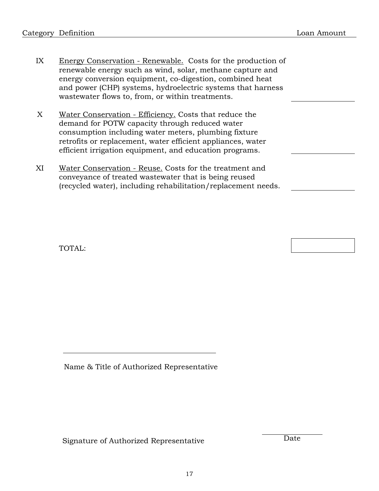- IX Energy Conservation - Renewable. Costs for the production of renewable energy such as wind, solar, methane capture and energy conversion equipment, co-digestion, combined heat and power (CHP) systems, hydroelectric systems that harness wastewater flows to, from, or within treatments.
- X Water Conservation - Efficiency. Costs that reduce the demand for POTW capacity through reduced water consumption including water meters, plumbing fixture retrofits or replacement, water efficient appliances, water efficient irrigation equipment, and education programs.
- XI Water Conservation - Reuse. Costs for the treatment and conveyance of treated wastewater that is being reused (recycled water), including rehabilitation/replacement needs.

TOTAL:

Name & Title of Authorized Representative

Signature of Authorized Representative Date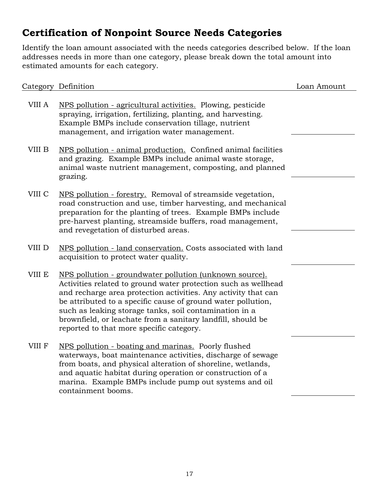# **Certification of Nonpoint Source Needs Categories**

Identify the loan amount associated with the needs categories described below. If the loan addresses needs in more than one category, please break down the total amount into estimated amounts for each category.

|        | Category Definition                                                                                                                                                                                                                                                                                                                                                                                                              | Loan Amount |
|--------|----------------------------------------------------------------------------------------------------------------------------------------------------------------------------------------------------------------------------------------------------------------------------------------------------------------------------------------------------------------------------------------------------------------------------------|-------------|
| VIII A | NPS pollution - agricultural activities. Plowing, pesticide<br>spraying, irrigation, fertilizing, planting, and harvesting.<br>Example BMPs include conservation tillage, nutrient<br>management, and irrigation water management.                                                                                                                                                                                               |             |
| VIII B | NPS pollution - animal production. Confined animal facilities<br>and grazing. Example BMPs include animal waste storage,<br>animal waste nutrient management, composting, and planned<br>grazing.                                                                                                                                                                                                                                |             |
| VIII C | NPS pollution - forestry. Removal of streamside vegetation,<br>road construction and use, timber harvesting, and mechanical<br>preparation for the planting of trees. Example BMPs include<br>pre-harvest planting, streamside buffers, road management,<br>and revegetation of disturbed areas.                                                                                                                                 |             |
| VIII D | NPS pollution - land conservation. Costs associated with land<br>acquisition to protect water quality.                                                                                                                                                                                                                                                                                                                           |             |
| VIII E | NPS pollution - groundwater pollution (unknown source).<br>Activities related to ground water protection such as wellhead<br>and recharge area protection activities. Any activity that can<br>be attributed to a specific cause of ground water pollution,<br>such as leaking storage tanks, soil contamination in a<br>brownfield, or leachate from a sanitary landfill, should be<br>reported to that more specific category. |             |
| VIII F | NPS pollution - boating and marinas. Poorly flushed<br>waterways, boat maintenance activities, discharge of sewage<br>from boats, and physical alteration of shoreline, wetlands,<br>and aquatic habitat during operation or construction of a<br>marina. Example BMPs include pump out systems and oil<br>containment booms.                                                                                                    |             |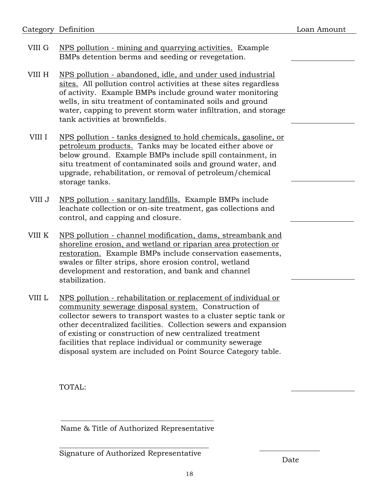| Category Definition |
|---------------------|
|---------------------|

- VIII G NPS pollution - mining and quarrying activities. Example BMPs detention berms and seeding or revegetation.
- VIII H NPS pollution - abandoned, idle, and under used industrial sites. All pollution control activities at these sites regardless of activity. Example BMPs include ground water monitoring wells, in situ treatment of contaminated soils and ground water, capping to prevent storm water infiltration, and storage tank activities at brownfields.
- VIII I NPS pollution - tanks designed to hold chemicals, gasoline, or petroleum products. Tanks may be located either above or below ground. Example BMPs include spill containment, in situ treatment of contaminated soils and ground water, and upgrade, rehabilitation, or removal of petroleum/chemical storage tanks.
- VIII J NPS pollution - sanitary landfills. Example BMPs include leachate collection or on-site treatment, gas collections and control, and capping and closure.
- VIII K NPS pollution - channel modification, dams, streambank and shoreline erosion, and wetland or riparian area protection or restoration. Example BMPs include conservation easements, swales or filter strips, shore erosion control, wetland development and restoration, and bank and channel stabilization.
- VIII L NPS pollution - rehabilitation or replacement of individual or community sewerage disposal system. Construction of collector sewers to transport wastes to a cluster septic tank or other decentralized facilities. Collection sewers and expansion of existing or construction of new centralized treatment facilities that replace individual or community sewerage disposal system are included on Point Source Category table.

TOTAL:

Name & Title of Authorized Representative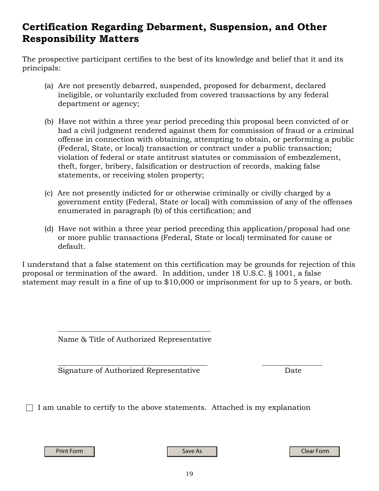# **Certification Regarding Debarment, Suspension, and Other Responsibility Matters**

The prospective participant certifies to the best of its knowledge and belief that it and its principals:

- (a) Are not presently debarred, suspended, proposed for debarment, declared ineligible, or voluntarily excluded from covered transactions by any federal department or agency;
- (b) Have not within a three year period preceding this proposal been convicted of or had a civil judgment rendered against them for commission of fraud or a criminal offense in connection with obtaining, attempting to obtain, or performing a public (Federal, State, or local) transaction or contract under a public transaction; violation of federal or state antitrust statutes or commission of embezzlement, theft, forger, bribery, falsification or destruction of records, making false statements, or receiving stolen property;
- (c) Are not presently indicted for or otherwise criminally or civilly charged by a government entity (Federal, State or local) with commission of any of the offenses enumerated in paragraph (b) of this certification; and
- (d) Have not within a three year period preceding this application/proposal had one or more public transactions (Federal, State or local) terminated for cause or default.

I understand that a false statement on this certification may be grounds for rejection of this proposal or termination of the award. In addition, under 18 U.S.C. § 1001, a false statement may result in a fine of up to \$10,000 or imprisonment for up to 5 years, or both.

Name & Title of Authorized Representative

Signature of Authorized Representative **Example 2** Date

 $\Box$  I am unable to certify to the above statements. Attached is my explanation

Print Form Save As Clear Form Save As Clear Form Save As Clear Form Save As Clear Form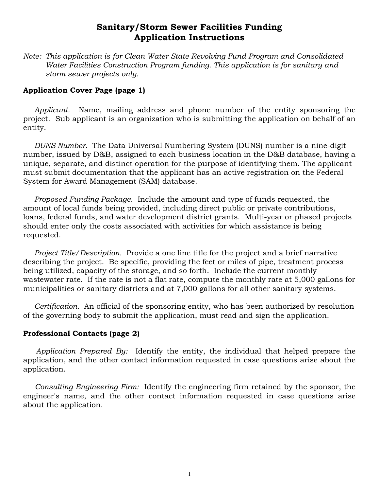# **Sanitary/Storm Sewer Facilities Funding Application Instructions**

*Note: This application is for Clean Water State Revolving Fund Program and Consolidated Water Facilities Construction Program funding. This application is for sanitary and storm sewer projects only.* 

## **Application Cover Page (page 1)**

*Applicant.* Name, mailing address and phone number of the entity sponsoring the project. Sub applicant is an organization who is submitting the application on behalf of an entity.

*DUNS Number.* The Data Universal Numbering System (DUNS) number is a nine-digit number, issued by D&B, assigned to each business location in the D&B database, having a unique, separate, and distinct operation for the purpose of identifying them. The applicant must submit documentation that the applicant has an active registration on the Federal System for Award Management (SAM) database.

*Proposed Funding Package.* Include the amount and type of funds requested, the amount of local funds being provided, including direct public or private contributions, loans, federal funds, and water development district grants. Multi-year or phased projects should enter only the costs associated with activities for which assistance is being requested.

*Project Title/Description.* Provide a one line title for the project and a brief narrative describing the project. Be specific, providing the feet or miles of pipe, treatment process being utilized, capacity of the storage, and so forth. Include the current monthly wastewater rate. If the rate is not a flat rate, compute the monthly rate at 5,000 gallons for municipalities or sanitary districts and at 7,000 gallons for all other sanitary systems.

*Certification.* An official of the sponsoring entity, who has been authorized by resolution of the governing body to submit the application, must read and sign the application.

## **Professional Contacts (page 2)**

*Application Prepared By:* Identify the entity, the individual that helped prepare the application, and the other contact information requested in case questions arise about the application.

*Consulting Engineering Firm:* Identify the engineering firm retained by the sponsor, the engineer's name, and the other contact information requested in case questions arise about the application.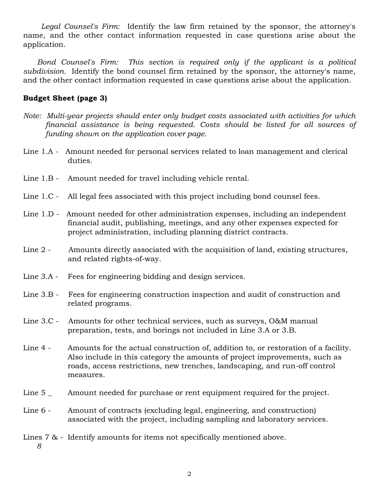*Legal Counsel's Firm:* Identify the law firm retained by the sponsor, the attorney's name, and the other contact information requested in case questions arise about the application.

*Bond Counsel's Firm: This section is required only if the applicant is a political subdivision.* Identify the bond counsel firm retained by the sponsor, the attorney's name, and the other contact information requested in case questions arise about the application.

## **Budget Sheet (page 3)**

- *Note: Multi-year projects should enter only budget costs associated with activities for which financial assistance is being requested. Costs should be listed for all sources of funding shown on the application cover page.*
- Line 1.A Amount needed for personal services related to loan management and clerical duties.
- Line 1.B Amount needed for travel including vehicle rental.
- Line 1.C All legal fees associated with this project including bond counsel fees.
- Line 1.D Amount needed for other administration expenses, including an independent financial audit, publishing, meetings, and any other expenses expected for project administration, including planning district contracts.
- Line 2 Amounts directly associated with the acquisition of land, existing structures, and related rights-of-way.
- Line 3.A Fees for engineering bidding and design services.
- Line 3.B Fees for engineering construction inspection and audit of construction and related programs.
- Line 3.C Amounts for other technical services, such as surveys, O&M manual preparation, tests, and borings not included in Line 3.A or 3.B.
- Line 4 Amounts for the actual construction of, addition to, or restoration of a facility. Also include in this category the amounts of project improvements, such as roads, access restrictions, new trenches, landscaping, and run-off control measures.
- Line 5 \_ Amount needed for purchase or rent equipment required for the project.
- Line 6 Amount of contracts (excluding legal, engineering, and construction) associated with the project, including sampling and laboratory services.
- Lines 7 & Identify amounts for items not specifically mentioned above.  *8*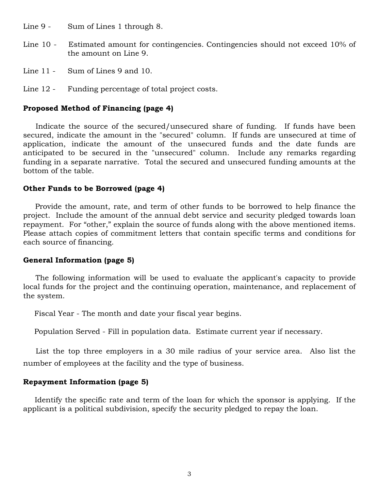Line 9 - Sum of Lines 1 through 8.

- Line 10 Estimated amount for contingencies. Contingencies should not exceed 10% of the amount on Line 9.
- Line 11 Sum of Lines 9 and 10.
- Line 12 Funding percentage of total project costs.

#### **Proposed Method of Financing (page 4)**

Indicate the source of the secured/unsecured share of funding. If funds have been secured, indicate the amount in the "secured" column. If funds are unsecured at time of application, indicate the amount of the unsecured funds and the date funds are anticipated to be secured in the "unsecured" column. Include any remarks regarding funding in a separate narrative. Total the secured and unsecured funding amounts at the bottom of the table.

#### **Other Funds to be Borrowed (page 4)**

Provide the amount, rate, and term of other funds to be borrowed to help finance the project. Include the amount of the annual debt service and security pledged towards loan repayment. For "other," explain the source of funds along with the above mentioned items. Please attach copies of commitment letters that contain specific terms and conditions for each source of financing.

## **General Information (page 5)**

The following information will be used to evaluate the applicant's capacity to provide local funds for the project and the continuing operation, maintenance, and replacement of the system.

Fiscal Year - The month and date your fiscal year begins.

Population Served - Fill in population data. Estimate current year if necessary.

List the top three employers in a 30 mile radius of your service area. Also list the number of employees at the facility and the type of business.

## **Repayment Information (page 5)**

Identify the specific rate and term of the loan for which the sponsor is applying. If the applicant is a political subdivision, specify the security pledged to repay the loan.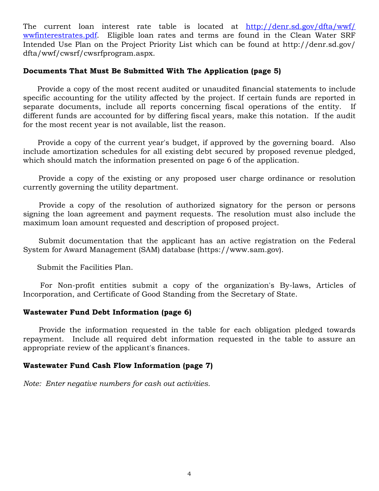The current loan interest rate table is located at [http://denr.sd.gov/dfta/wwf/](http://denr.sd.gov/dfta/wwf/wwfinterestrates.pdf) [wwfinterestrates.pdf](http://denr.sd.gov/dfta/wwf/wwfinterestrates.pdf). Eligible loan rates and terms are found in the Clean Water SRF Intended Use Plan on the Project Priority List which can be found at http://denr.sd.gov/ dfta/wwf/cwsrf/cwsrfprogram.aspx.

## **Documents That Must Be Submitted With The Application (page 5)**

Provide a copy of the most recent audited or unaudited financial statements to include specific accounting for the utility affected by the project. If certain funds are reported in separate documents, include all reports concerning fiscal operations of the entity. If different funds are accounted for by differing fiscal years, make this notation. If the audit for the most recent year is not available, list the reason.

Provide a copy of the current year's budget, if approved by the governing board. Also include amortization schedules for all existing debt secured by proposed revenue pledged, which should match the information presented on page 6 of the application.

Provide a copy of the existing or any proposed user charge ordinance or resolution currently governing the utility department.

Provide a copy of the resolution of authorized signatory for the person or persons signing the loan agreement and payment requests. The resolution must also include the maximum loan amount requested and description of proposed project.

Submit documentation that the applicant has an active registration on the Federal System for Award Management (SAM) database (https://www.sam.gov).

Submit the Facilities Plan.

For Non-profit entities submit a copy of the organization's By-laws, Articles of Incorporation, and Certificate of Good Standing from the Secretary of State.

## **Wastewater Fund Debt Information (page 6)**

Provide the information requested in the table for each obligation pledged towards repayment. Include all required debt information requested in the table to assure an appropriate review of the applicant's finances.

## **Wastewater Fund Cash Flow Information (page 7)**

*Note: Enter negative numbers for cash out activities.*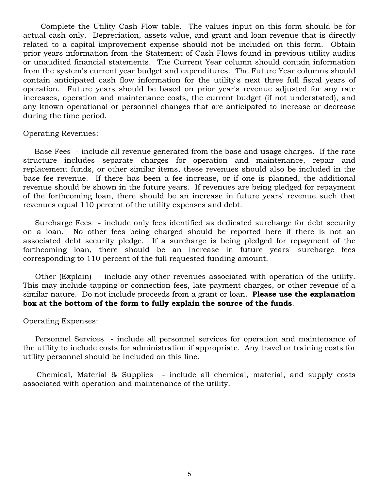Complete the Utility Cash Flow table. The values input on this form should be for actual cash only. Depreciation, assets value, and grant and loan revenue that is directly related to a capital improvement expense should not be included on this form. Obtain prior years information from the Statement of Cash Flows found in previous utility audits or unaudited financial statements. The Current Year column should contain information from the system's current year budget and expenditures. The Future Year columns should contain anticipated cash flow information for the utility's next three full fiscal years of operation. Future years should be based on prior year's revenue adjusted for any rate increases, operation and maintenance costs, the current budget (if not understated), and any known operational or personnel changes that are anticipated to increase or decrease during the time period.

#### Operating Revenues:

Base Fees - include all revenue generated from the base and usage charges. If the rate structure includes separate charges for operation and maintenance, repair and replacement funds, or other similar items, these revenues should also be included in the base fee revenue. If there has been a fee increase, or if one is planned, the additional revenue should be shown in the future years. If revenues are being pledged for repayment of the forthcoming loan, there should be an increase in future years' revenue such that revenues equal 110 percent of the utility expenses and debt.

Surcharge Fees - include only fees identified as dedicated surcharge for debt security on a loan. No other fees being charged should be reported here if there is not an associated debt security pledge. If a surcharge is being pledged for repayment of the forthcoming loan, there should be an increase in future years' surcharge fees corresponding to 110 percent of the full requested funding amount.

Other (Explain) - include any other revenues associated with operation of the utility. This may include tapping or connection fees, late payment charges, or other revenue of a similar nature. Do not include proceeds from a grant or loan. **Please use the explanation box at the bottom of the form to fully explain the source of the funds**.

#### Operating Expenses:

Personnel Services - include all personnel services for operation and maintenance of the utility to include costs for administration if appropriate. Any travel or training costs for utility personnel should be included on this line.

Chemical, Material & Supplies - include all chemical, material, and supply costs associated with operation and maintenance of the utility.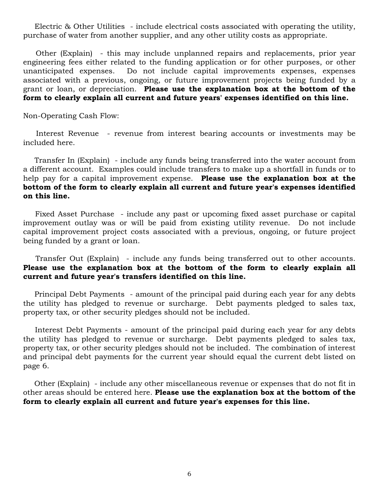Electric & Other Utilities - include electrical costs associated with operating the utility, purchase of water from another supplier, and any other utility costs as appropriate.

Other (Explain) - this may include unplanned repairs and replacements, prior year engineering fees either related to the funding application or for other purposes, or other unanticipated expenses. Do not include capital improvements expenses, expenses associated with a previous, ongoing, or future improvement projects being funded by a grant or loan, or depreciation. **Please use the explanation box at the bottom of the form to clearly explain all current and future years' expenses identified on this line.**

Non-Operating Cash Flow:

Interest Revenue - revenue from interest bearing accounts or investments may be included here.

Transfer In (Explain) - include any funds being transferred into the water account from a different account. Examples could include transfers to make up a shortfall in funds or to help pay for a capital improvement expense. **Please use the explanation box at the bottom of the form to clearly explain all current and future year's expenses identified on this line.**

Fixed Asset Purchase - include any past or upcoming fixed asset purchase or capital improvement outlay was or will be paid from existing utility revenue. Do not include capital improvement project costs associated with a previous, ongoing, or future project being funded by a grant or loan.

Transfer Out (Explain) - include any funds being transferred out to other accounts. **Please use the explanation box at the bottom of the form to clearly explain all current and future year's transfers identified on this line.**

Principal Debt Payments - amount of the principal paid during each year for any debts the utility has pledged to revenue or surcharge. Debt payments pledged to sales tax, property tax, or other security pledges should not be included.

Interest Debt Payments - amount of the principal paid during each year for any debts the utility has pledged to revenue or surcharge. Debt payments pledged to sales tax, property tax, or other security pledges should not be included. The combination of interest and principal debt payments for the current year should equal the current debt listed on page 6.

Other (Explain) - include any other miscellaneous revenue or expenses that do not fit in other areas should be entered here. **Please use the explanation box at the bottom of the form to clearly explain all current and future year's expenses for this line.**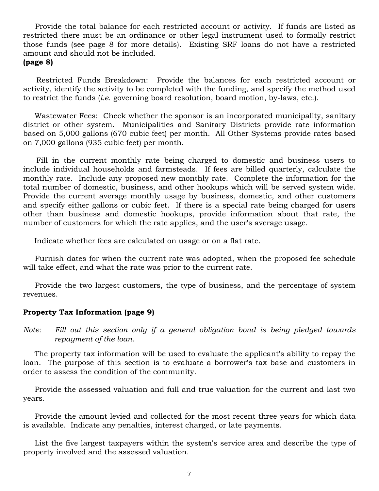Provide the total balance for each restricted account or activity. If funds are listed as restricted there must be an ordinance or other legal instrument used to formally restrict those funds (see page 8 for more details). Existing SRF loans do not have a restricted amount and should not be included.

## **(page 8)**

Restricted Funds Breakdown: Provide the balances for each restricted account or activity, identify the activity to be completed with the funding, and specify the method used to restrict the funds (*i.e*. governing board resolution, board motion, by-laws, etc.).

Wastewater Fees: Check whether the sponsor is an incorporated municipality, sanitary district or other system. Municipalities and Sanitary Districts provide rate information based on 5,000 gallons (670 cubic feet) per month. All Other Systems provide rates based on 7,000 gallons (935 cubic feet) per month.

Fill in the current monthly rate being charged to domestic and business users to include individual households and farmsteads. If fees are billed quarterly, calculate the monthly rate. Include any proposed new monthly rate. Complete the information for the total number of domestic, business, and other hookups which will be served system wide. Provide the current average monthly usage by business, domestic, and other customers and specify either gallons or cubic feet. If there is a special rate being charged for users other than business and domestic hookups, provide information about that rate, the number of customers for which the rate applies, and the user's average usage.

Indicate whether fees are calculated on usage or on a flat rate.

Furnish dates for when the current rate was adopted, when the proposed fee schedule will take effect, and what the rate was prior to the current rate.

Provide the two largest customers, the type of business, and the percentage of system revenues.

## **Property Tax Information (page 9)**

*Note: Fill out this section only if a general obligation bond is being pledged towards repayment of the loan.* 

The property tax information will be used to evaluate the applicant's ability to repay the loan. The purpose of this section is to evaluate a borrower's tax base and customers in order to assess the condition of the community.

Provide the assessed valuation and full and true valuation for the current and last two years.

Provide the amount levied and collected for the most recent three years for which data is available. Indicate any penalties, interest charged, or late payments.

List the five largest taxpayers within the system's service area and describe the type of property involved and the assessed valuation.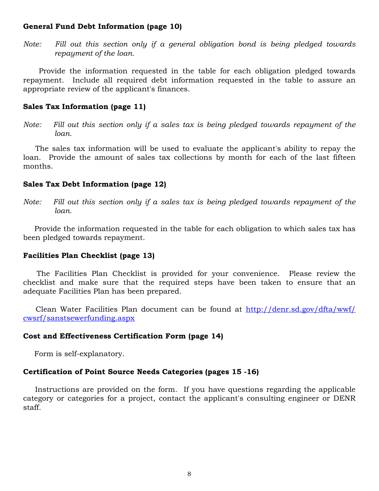## **General Fund Debt Information (page 10)**

*Note: Fill out this section only if a general obligation bond is being pledged towards repayment of the loan.* 

Provide the information requested in the table for each obligation pledged towards repayment. Include all required debt information requested in the table to assure an appropriate review of the applicant's finances.

## **Sales Tax Information (page 11)**

*Note: Fill out this section only if a sales tax is being pledged towards repayment of the loan.* 

The sales tax information will be used to evaluate the applicant's ability to repay the loan. Provide the amount of sales tax collections by month for each of the last fifteen months.

## **Sales Tax Debt Information (page 12)**

*Note: Fill out this section only if a sales tax is being pledged towards repayment of the loan.* 

Provide the information requested in the table for each obligation to which sales tax has been pledged towards repayment.

## **Facilities Plan Checklist (page 13)**

The Facilities Plan Checklist is provided for your convenience. Please review the checklist and make sure that the required steps have been taken to ensure that an adequate Facilities Plan has been prepared.

Clean Water Facilities Plan document can be found at [http://denr.sd.gov/dfta/wwf/](http://denr.sd.gov/dfta/wwf/cwsrf/sanstsewerfunding.aspx) [cwsrf/sanstsewerfunding.aspx](http://denr.sd.gov/dfta/wwf/cwsrf/sanstsewerfunding.aspx)

## **Cost and Effectiveness Certification Form (page 14)**

Form is self-explanatory.

## **Certification of Point Source Needs Categories (pages 15 -16)**

Instructions are provided on the form. If you have questions regarding the applicable category or categories for a project, contact the applicant's consulting engineer or DENR staff.